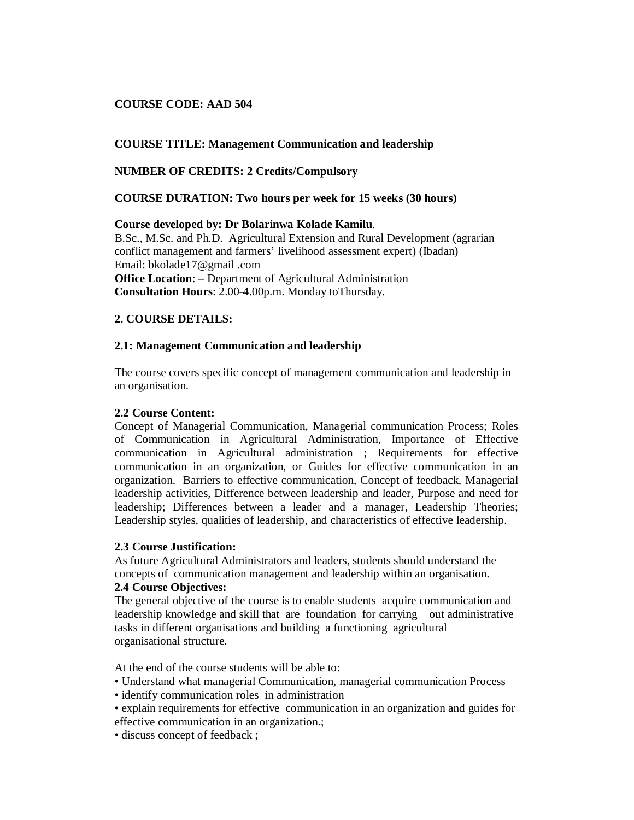## **COURSE CODE: AAD 504**

## **COURSE TITLE: Management Communication and leadership**

## **NUMBER OF CREDITS: 2 Credits/Compulsory**

## **COURSE DURATION: Two hours per week for 15 weeks (30 hours)**

## **Course developed by: Dr Bolarinwa Kolade Kamilu**.

B.Sc., M.Sc. and Ph.D. Agricultural Extension and Rural Development (agrarian conflict management and farmers' livelihood assessment expert) (Ibadan) Email: bkolade17@gmail .com **Office Location**: – Department of Agricultural Administration **Consultation Hours**: 2.00-4.00p.m. Monday toThursday.

## **2. COURSE DETAILS:**

## **2.1: Management Communication and leadership**

The course covers specific concept of management communication and leadership in an organisation.

## **2.2 Course Content:**

Concept of Managerial Communication, Managerial communication Process; Roles of Communication in Agricultural Administration, Importance of Effective communication in Agricultural administration ; Requirements for effective communication in an organization, or Guides for effective communication in an organization. Barriers to effective communication, Concept of feedback, Managerial leadership activities, Difference between leadership and leader, Purpose and need for leadership; Differences between a leader and a manager, Leadership Theories; Leadership styles, qualities of leadership, and characteristics of effective leadership.

## **2.3 Course Justification:**

As future Agricultural Administrators and leaders, students should understand the concepts of communication management and leadership within an organisation.

## **2.4 Course Objectives:**

The general objective of the course is to enable students acquire communication and leadership knowledge and skill that are foundation for carrying out administrative tasks in different organisations and building a functioning agricultural organisational structure.

At the end of the course students will be able to:

- Understand what managerial Communication, managerial communication Process
- identify communication roles in administration
- explain requirements for effective communication in an organization and guides for effective communication in an organization.;
- discuss concept of feedback ;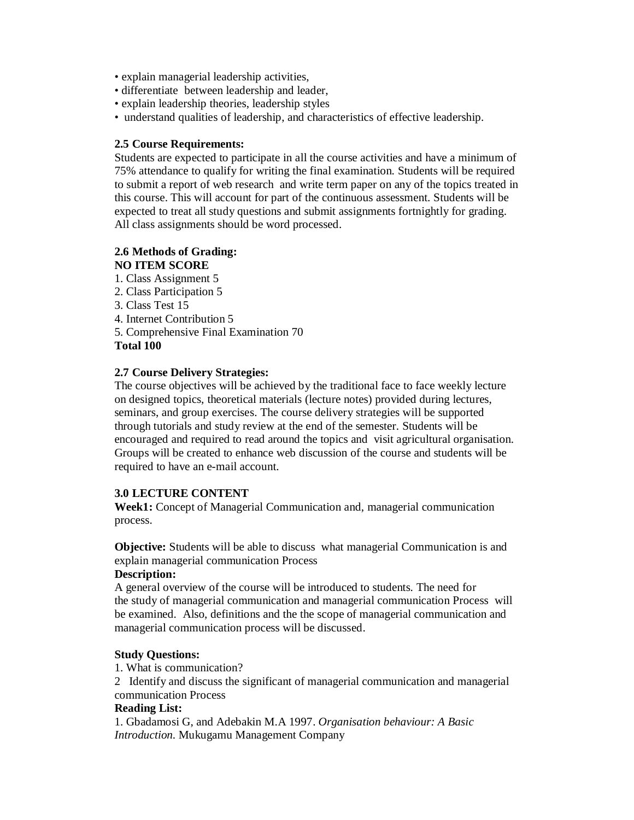- explain managerial leadership activities,
- differentiate between leadership and leader,
- explain leadership theories, leadership styles
- understand qualities of leadership, and characteristics of effective leadership.

## **2.5 Course Requirements:**

Students are expected to participate in all the course activities and have a minimum of 75% attendance to qualify for writing the final examination. Students will be required to submit a report of web research and write term paper on any of the topics treated in this course. This will account for part of the continuous assessment. Students will be expected to treat all study questions and submit assignments fortnightly for grading. All class assignments should be word processed.

#### **2.6 Methods of Grading: NO ITEM SCORE**

1. Class Assignment 5 2. Class Participation 5 3. Class Test 15 4. Internet Contribution 5 5. Comprehensive Final Examination 70 **Total 100**

# **2.7 Course Delivery Strategies:**

The course objectives will be achieved by the traditional face to face weekly lecture on designed topics, theoretical materials (lecture notes) provided during lectures, seminars, and group exercises. The course delivery strategies will be supported through tutorials and study review at the end of the semester. Students will be encouraged and required to read around the topics and visit agricultural organisation. Groups will be created to enhance web discussion of the course and students will be required to have an e-mail account.

# **3.0 LECTURE CONTENT**

**Week1:** Concept of Managerial Communication and, managerial communication process.

**Objective:** Students will be able to discuss what managerial Communication is and explain managerial communication Process

## **Description:**

A general overview of the course will be introduced to students. The need for the study of managerial communication and managerial communication Process will be examined. Also, definitions and the the scope of managerial communication and managerial communication process will be discussed.

## **Study Questions:**

1. What is communication?

2 Identify and discuss the significant of managerial communication and managerial communication Process

## **Reading List:**

1. Gbadamosi G, and Adebakin M.A 1997. *Organisation behaviour: A Basic Introduction.* Mukugamu Management Company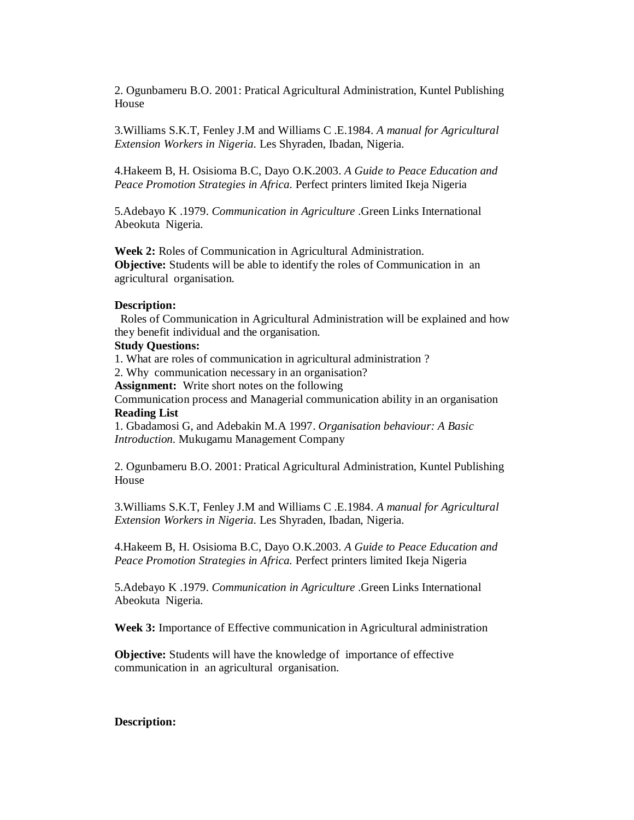2. Ogunbameru B.O. 2001: Pratical Agricultural Administration, Kuntel Publishing House

3.Williams S.K.T, Fenley J.M and Williams C .E.1984. *A manual for Agricultural Extension Workers in Nigeria.* Les Shyraden, Ibadan, Nigeria.

4.Hakeem B, H. Osisioma B.C, Dayo O.K.2003. *A Guide to Peace Education and Peace Promotion Strategies in Africa.* Perfect printers limited Ikeja Nigeria

5.Adebayo K .1979. *Communication in Agriculture* .Green Links International Abeokuta Nigeria.

**Week 2:** Roles of Communication in Agricultural Administration. **Objective:** Students will be able to identify the roles of Communication in an agricultural organisation.

#### **Description:**

Roles of Communication in Agricultural Administration will be explained and how they benefit individual and the organisation.

#### **Study Questions:**

1. What are roles of communication in agricultural administration ?

2. Why communication necessary in an organisation?

**Assignment:** Write short notes on the following

Communication process and Managerial communication ability in an organisation **Reading List**

1. Gbadamosi G, and Adebakin M.A 1997. *Organisation behaviour: A Basic Introduction.* Mukugamu Management Company

2. Ogunbameru B.O. 2001: Pratical Agricultural Administration, Kuntel Publishing House

3.Williams S.K.T, Fenley J.M and Williams C .E.1984. *A manual for Agricultural Extension Workers in Nigeria.* Les Shyraden, Ibadan, Nigeria.

4.Hakeem B, H. Osisioma B.C, Dayo O.K.2003. *A Guide to Peace Education and Peace Promotion Strategies in Africa.* Perfect printers limited Ikeja Nigeria

5.Adebayo K .1979. *Communication in Agriculture* .Green Links International Abeokuta Nigeria.

**Week 3:** Importance of Effective communication in Agricultural administration

**Objective:** Students will have the knowledge of importance of effective communication in an agricultural organisation.

#### **Description:**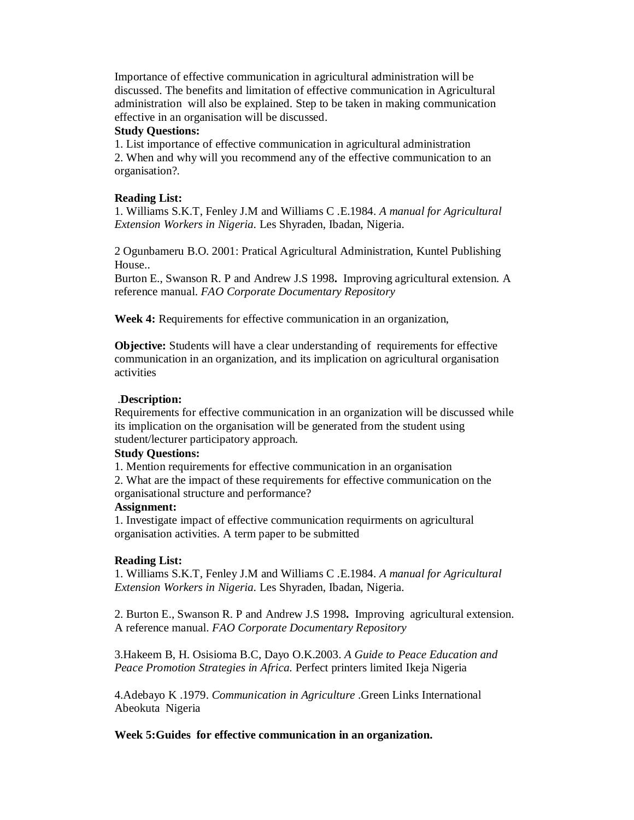Importance of effective communication in agricultural administration will be discussed. The benefits and limitation of effective communication in Agricultural administration will also be explained. Step to be taken in making communication effective in an organisation will be discussed.

### **Study Questions:**

1. List importance of effective communication in agricultural administration 2. When and why will you recommend any of the effective communication to an organisation?.

### **Reading List:**

1. Williams S.K.T, Fenley J.M and Williams C .E.1984. *A manual for Agricultural Extension Workers in Nigeria.* Les Shyraden, Ibadan, Nigeria.

2 Ogunbameru B.O. 2001: Pratical Agricultural Administration, Kuntel Publishing House..

Burton E., Swanson R. P and Andrew J.S 1998**.** Improving agricultural extension. A reference manual. *FAO Corporate Documentary Repository* 

**Week 4:** Requirements for effective communication in an organization,

**Objective:** Students will have a clear understanding of requirements for effective communication in an organization, and its implication on agricultural organisation activities

#### .**Description:**

Requirements for effective communication in an organization will be discussed while its implication on the organisation will be generated from the student using student/lecturer participatory approach.

### **Study Questions:**

1. Mention requirements for effective communication in an organisation

2. What are the impact of these requirements for effective communication on the organisational structure and performance?

### **Assignment:**

1. Investigate impact of effective communication requirments on agricultural organisation activities. A term paper to be submitted

### **Reading List:**

1. Williams S.K.T, Fenley J.M and Williams C .E.1984. *A manual for Agricultural Extension Workers in Nigeria.* Les Shyraden, Ibadan, Nigeria.

2. Burton E., Swanson R. P and Andrew J.S 1998**.** Improving agricultural extension. A reference manual. *FAO Corporate Documentary Repository*

3.Hakeem B, H. Osisioma B.C, Dayo O.K.2003. *A Guide to Peace Education and Peace Promotion Strategies in Africa.* Perfect printers limited Ikeja Nigeria

4.Adebayo K .1979. *Communication in Agriculture* .Green Links International Abeokuta Nigeria

**Week 5:Guides for effective communication in an organization.**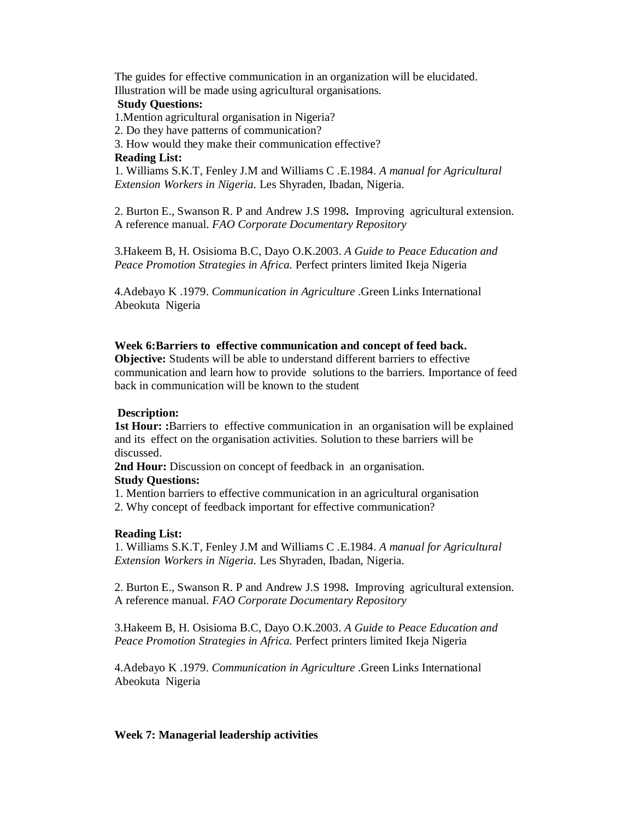The guides for effective communication in an organization will be elucidated. Illustration will be made using agricultural organisations.

### **Study Questions:**

1.Mention agricultural organisation in Nigeria?

2. Do they have patterns of communication?

3. How would they make their communication effective?

### **Reading List:**

1. Williams S.K.T, Fenley J.M and Williams C .E.1984. *A manual for Agricultural Extension Workers in Nigeria.* Les Shyraden, Ibadan, Nigeria.

2. Burton E., Swanson R. P and Andrew J.S 1998**.** Improving agricultural extension. A reference manual. *FAO Corporate Documentary Repository*

3.Hakeem B, H. Osisioma B.C, Dayo O.K.2003. *A Guide to Peace Education and Peace Promotion Strategies in Africa.* Perfect printers limited Ikeja Nigeria

4.Adebayo K .1979. *Communication in Agriculture* .Green Links International Abeokuta Nigeria

### **Week 6:Barriers to effective communication and concept of feed back.**

**Objective:** Students will be able to understand different barriers to effective communication and learn how to provide solutions to the barriers. Importance of feed back in communication will be known to the student

### **Description:**

**1st Hour:** :Barriers to effective communication in an organisation will be explained and its effect on the organisation activities. Solution to these barriers will be discussed.

**2nd Hour:** Discussion on concept of feedback in an organisation.

### **Study Questions:**

1. Mention barriers to effective communication in an agricultural organisation

2. Why concept of feedback important for effective communication?

## **Reading List:**

1. Williams S.K.T, Fenley J.M and Williams C .E.1984. *A manual for Agricultural Extension Workers in Nigeria.* Les Shyraden, Ibadan, Nigeria.

2. Burton E., Swanson R. P and Andrew J.S 1998**.** Improving agricultural extension. A reference manual. *FAO Corporate Documentary Repository*

3.Hakeem B, H. Osisioma B.C, Dayo O.K.2003. *A Guide to Peace Education and Peace Promotion Strategies in Africa.* Perfect printers limited Ikeja Nigeria

4.Adebayo K .1979. *Communication in Agriculture* .Green Links International Abeokuta Nigeria

## **Week 7: Managerial leadership activities**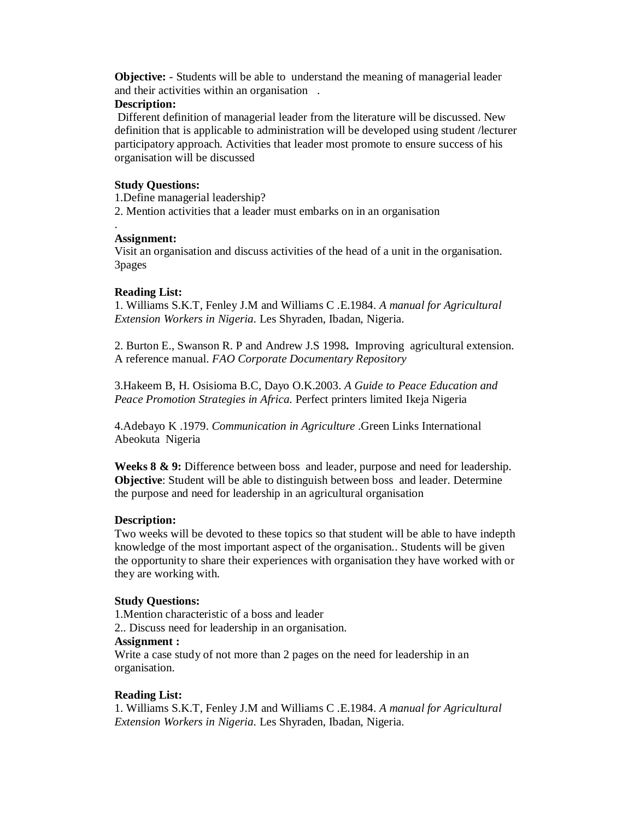**Objective:** - Students will be able to understand the meaning of managerial leader and their activities within an organisation .

## **Description:**

Different definition of managerial leader from the literature will be discussed. New definition that is applicable to administration will be developed using student /lecturer participatory approach. Activities that leader most promote to ensure success of his organisation will be discussed

### **Study Questions:**

1.Define managerial leadership? 2. Mention activities that a leader must embarks on in an organisation

### . **Assignment:**

Visit an organisation and discuss activities of the head of a unit in the organisation. 3pages

### **Reading List:**

1. Williams S.K.T, Fenley J.M and Williams C .E.1984. *A manual for Agricultural Extension Workers in Nigeria.* Les Shyraden, Ibadan, Nigeria.

2. Burton E., Swanson R. P and Andrew J.S 1998**.** Improving agricultural extension. A reference manual. *FAO Corporate Documentary Repository*

3.Hakeem B, H. Osisioma B.C, Dayo O.K.2003. *A Guide to Peace Education and Peace Promotion Strategies in Africa.* Perfect printers limited Ikeja Nigeria

4.Adebayo K .1979. *Communication in Agriculture* .Green Links International Abeokuta Nigeria

**Weeks 8 & 9:** Difference between boss and leader, purpose and need for leadership. **Objective**: Student will be able to distinguish between boss and leader. Determine the purpose and need for leadership in an agricultural organisation

### **Description:**

Two weeks will be devoted to these topics so that student will be able to have indepth knowledge of the most important aspect of the organisation.. Students will be given the opportunity to share their experiences with organisation they have worked with or they are working with.

### **Study Questions:**

1.Mention characteristic of a boss and leader

2.. Discuss need for leadership in an organisation.

## **Assignment :**

Write a case study of not more than 2 pages on the need for leadership in an organisation.

### **Reading List:**

1. Williams S.K.T, Fenley J.M and Williams C .E.1984. *A manual for Agricultural Extension Workers in Nigeria.* Les Shyraden, Ibadan, Nigeria.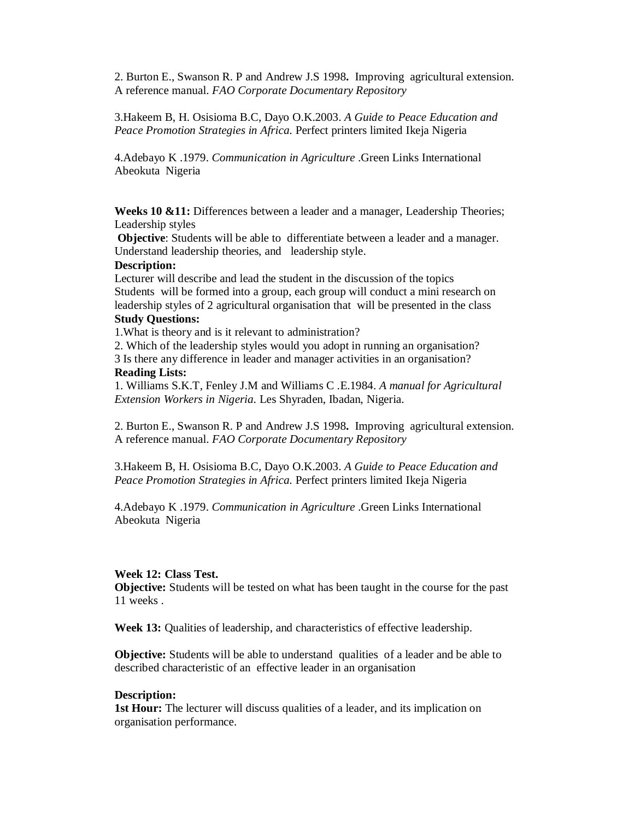2. Burton E., Swanson R. P and Andrew J.S 1998**.** Improving agricultural extension. A reference manual. *FAO Corporate Documentary Repository*

3.Hakeem B, H. Osisioma B.C, Dayo O.K.2003. *A Guide to Peace Education and Peace Promotion Strategies in Africa.* Perfect printers limited Ikeja Nigeria

4.Adebayo K .1979. *Communication in Agriculture* .Green Links International Abeokuta Nigeria

**Weeks 10 &11:** Differences between a leader and a manager, Leadership Theories; Leadership styles

**Objective**: Students will be able to differentiate between a leader and a manager. Understand leadership theories, and leadership style.

#### **Description:**

Lecturer will describe and lead the student in the discussion of the topics Students will be formed into a group, each group will conduct a mini research on leadership styles of 2 agricultural organisation that will be presented in the class **Study Questions:**

1.What is theory and is it relevant to administration?

2. Which of the leadership styles would you adopt in running an organisation? 3 Is there any difference in leader and manager activities in an organisation?

#### **Reading Lists:**

1. Williams S.K.T, Fenley J.M and Williams C .E.1984. *A manual for Agricultural Extension Workers in Nigeria.* Les Shyraden, Ibadan, Nigeria.

2. Burton E., Swanson R. P and Andrew J.S 1998**.** Improving agricultural extension. A reference manual. *FAO Corporate Documentary Repository*

3.Hakeem B, H. Osisioma B.C, Dayo O.K.2003. *A Guide to Peace Education and Peace Promotion Strategies in Africa.* Perfect printers limited Ikeja Nigeria

4.Adebayo K .1979. *Communication in Agriculture* .Green Links International Abeokuta Nigeria

#### **Week 12: Class Test.**

**Objective:** Students will be tested on what has been taught in the course for the past 11 weeks .

**Week 13:** Qualities of leadership, and characteristics of effective leadership.

**Objective:** Students will be able to understand qualities of a leader and be able to described characteristic of an effective leader in an organisation

#### **Description:**

**1st Hour:** The lecturer will discuss qualities of a leader, and its implication on organisation performance.